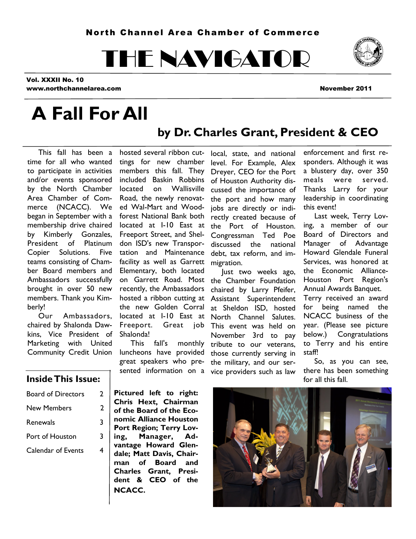# THE NAVIGATOR



Vol. XXXII No. 10 www.northchannelarea.com November 2011

# **A Fall For All**

### **by Dr. Charles Grant, President & CEO**

 This fall has been a time for all who wanted to participate in activities members this fall. They and/or events sponsored by the North Chamber Area Chamber of Commerce (NCACC). We began in September with a membership drive chaired by Kimberly Gonzales, President of Platinum Copier Solutions. Five teams consisting of Chamber Board members and Ambassadors successfully brought in over 50 new members. Thank you Kimberly!

 Our Ambassadors, chaired by Shalonda Dawkins, Vice President of Marketing with United Community Credit Union luncheons have provided

hosted several ribbon cuttings for new chamber included Baskin Robbins located on Wallisville Road, the newly renovated Wal-Mart and Woodforest National Bank both located at I-10 East at Freeport Street, and Sheldon ISD's new Transportation and Maintenance facility as well as Garrett Elementary, both located on Garrett Road. Most recently, the Ambassadors hosted a ribbon cutting at the new Golden Corral located at I-10 East at Freeport. Great job Shalonda!

 This fall's monthly great speakers who presented information on a vice providers such as law

local, state, and national level. For Example, Alex Dreyer, CEO for the Port of Houston Authority discussed the importance of the port and how many jobs are directly or indirectly created because of the Port of Houston. Congressman Ted Poe discussed the national debt, tax reform, and immigration.

 Just two weeks ago, the Chamber Foundation chaired by Larry Pfeifer, Assistant Superintendent at Sheldon ISD, hosted North Channel Salutes. This event was held on November 3rd to pay tribute to our veterans, those currently serving in the military, and our ser-

enforcement and first responders. Although it was a blustery day, over 350 meals were served. Thanks Larry for your leadership in coordinating this event!

 Last week, Terry Loving, a member of our Board of Directors and Manager of Advantage Howard Glendale Funeral Services, was honored at the Economic Alliance-Houston Port Region's Annual Awards Banquet. Terry received an award for being named the NCACC business of the year. (Please see picture below.) Congratulations to Terry and his entire staff!

 So, as you can see, there has been something



#### **Inside This Issue:**  $\begin{bmatrix} 1 & 1 \\ 1 & 1 \end{bmatrix}$  for all this fall.

| Board of Directors | 7 |
|--------------------|---|
| <b>New Members</b> | 7 |
| Renewals           | 3 |
| Port of Houston    | 3 |
| Calendar of Events |   |

**Pictured left to right: Chris Hext, Chairman of the Board of the Economic Alliance Houston Port Region; Terry Loving, Manager, Advantage Howard Glendale; Matt Davis, Chairman of Board and Charles Grant, President & CEO of the NCACC.**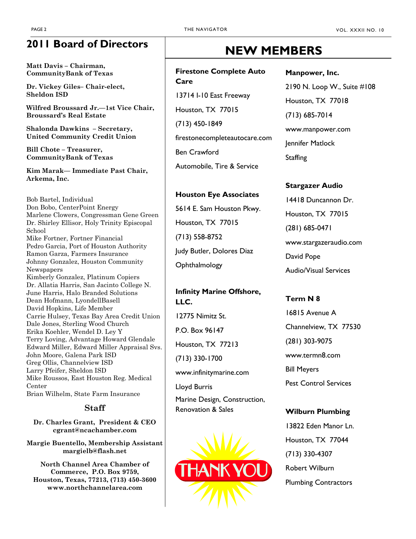#### **2011 Board of Directors**

**Matt Davis – Chairman, CommunityBank of Texas**

**Dr. Vickey Giles– Chair-elect, Sheldon ISD**

**Wilfred Broussard Jr.—1st Vice Chair, Broussard's Real Estate**

**Shalonda Dawkins – Secretary, United Community Credit Union**

**Bill Chote – Treasurer, CommunityBank of Texas**

**Kim Marak— Immediate Past Chair, Arkema, Inc.**

Bob Bartel, Individual Don Bobo, CenterPoint Energy Marlene Clowers, Congressman Gene Green Dr. Shirley Ellisor, Holy Trinity Episcopal School Mike Fortner, Fortner Financial Pedro Garcia, Port of Houston Authority Ramon Garza, Farmers Insurance Johnny Gonzalez, Houston Community Newspapers Kimberly Gonzalez, Platinum Copiers Dr. Allatia Harris, San Jacinto College N. June Harris, Halo Branded Solutions Dean Hofmann, LyondellBasell David Hopkins, Life Member Carrie Hulsey, Texas Bay Area Credit Union Dale Jones, Sterling Wood Church Erika Koehler, Wendel D. Ley Y Terry Loving, Advantage Howard Glendale Edward Miller, Edward Miller Appraisal Svs. John Moore, Galena Park ISD Greg Ollis, Channelview ISD Larry Pfeifer, Sheldon ISD Mike Roussos, East Houston Reg. Medical Center Brian Wilhelm, State Farm Insurance

#### **Staff**

**Dr. Charles Grant, President & CEO cgrant@ncachamber.com**

**Margie Buentello, Membership Assistant margielb@flash.net**

**North Channel Area Chamber of Commerce, P.O. Box 9759, Houston, Texas, 77213, (713) 450-3600 www.northchannelarea.com**

### **NEW MEMBERS**

#### **Firestone Complete Auto Care**

13714 I-10 East Freeway Houston, TX 77015 (713) 450-1849 firestonecompleteautocare.com Ben Crawford Automobile, Tire & Service

#### **Houston Eye Associates**

5614 E. Sam Houston Pkwy. Houston, TX 77015 (713) 558-8752 Judy Butler, Dolores Diaz **Ophthalmology** 

#### **Infinity Marine Offshore, LLC.**

12775 Nimitz St. P.O. Box 96147 Houston, TX 77213 (713) 330-1700 www.infinitymarine.com Lloyd Burris

Marine Design, Construction, Renovation & Sales



#### **Manpower, Inc.**

2190 N. Loop W., Suite #108 Houston, TX 77018 (713) 685-7014 www.manpower.com Jennifer Matlock **Staffing** 

#### **Stargazer Audio**

14418 Duncannon Dr. Houston, TX 77015 (281) 685-0471 www.stargazeraudio.com David Pope Audio/Visual Services

#### **Term N 8**

16815 Avenue A Channelview, TX 77530 (281) 303-9075 www.termn8.com Bill Meyers Pest Control Services

#### **Wilburn Plumbing**

13822 Eden Manor Ln. Houston, TX 77044 (713) 330-4307 Robert Wilburn Plumbing Contractors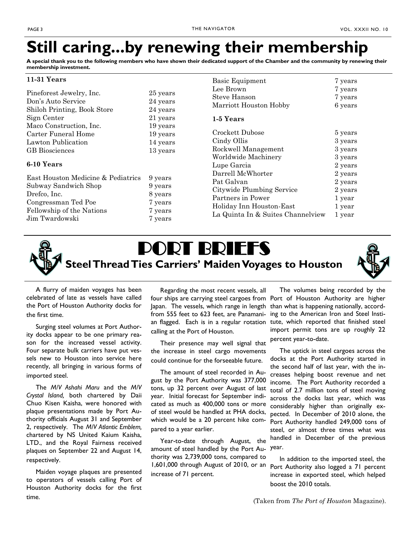### **Still caring...by renewing their membership**

**A special thank you to the following members who have shown their dedicated support of the Chamber and the community by renewing their membership investment.**

Basic Equipment 7 years

#### **11-31 Years**

| Pineforest Jewelry, Inc.<br>Don's Auto Service<br>Shiloh Printing, Book Store<br>Sign Center<br>Maco Construction, Inc. | 25 years<br>24 years<br>24 years<br>21 years<br>19 years | <b>Dasie Lyarphiche</b><br>Lee Brown<br>Steve Hanson<br>Marriott Houston Hobby<br>1-5 Years | $\mathbf{r}$ y can $\mathbf{v}$<br>7 years<br>7 years<br>6 years |
|-------------------------------------------------------------------------------------------------------------------------|----------------------------------------------------------|---------------------------------------------------------------------------------------------|------------------------------------------------------------------|
| Carter Funeral Home                                                                                                     | 19 years                                                 | Crockett Dubose                                                                             | 5 years                                                          |
| Lawton Publication                                                                                                      | 14 years                                                 | Cindy Ollis                                                                                 | 3 years                                                          |
| <b>GB</b> Biosciences                                                                                                   | 13 years                                                 | Rockwell Management                                                                         | 3 years                                                          |
| 6-10 Years                                                                                                              | Worldwide Machinery                                      | 3 years                                                                                     |                                                                  |
| East Houston Medicine & Pediatrics                                                                                      | Lupe Garcia                                              | 2 years                                                                                     |                                                                  |
| 9 years                                                                                                                 | Darrell McWhorter                                        | 2 years                                                                                     |                                                                  |
| Subway Sandwich Shop                                                                                                    | 9 years                                                  | Pat Galvan                                                                                  | 2 years                                                          |
| Drefco, Inc.                                                                                                            | 8 years                                                  | Citywide Plumbing Service                                                                   | 2 years                                                          |
| Congressman Ted Poe                                                                                                     | 7 years                                                  | Partners in Power                                                                           | 1 year                                                           |
| Fellowship of the Nations                                                                                               | 7 years                                                  | Holiday Inn Houston-East                                                                    | 1 year                                                           |
| Jim Twardowski                                                                                                          | 7 years                                                  | La Quinta In & Suites Channelview                                                           | 1 year                                                           |

## PORT BRIEFS **Steel Thread Ties Carriers' Maiden Voyages to Houston**



 A flurry of maiden voyages has been celebrated of late as vessels have called the Port of Houston Authority docks for the first time.

 Surging steel volumes at Port Authority docks appear to be one primary reason for the increased vessel activity. Four separate bulk carriers have put vessels new to Houston into service here recently, all bringing in various forms of imported steel.

 The *M/V Ashahi Maru* and the *M/V Crystal Island,* both chartered by Daii Chuo Kisen Kaisha, were honored with plaque presentations made by Port Authority officials August 31 and September 2, respectively. The *M/V Atlantic Emblem,* chartered by NS United Kaium Kaisha, LTD., and the Royal Fairness received plaques on September 22 and August 14, respectively.

 Maiden voyage plaques are presented to operators of vessels calling Port of Houston Authority docks for the first time.

 Regarding the most recent vessels, all Japan. The vessels, which range in length from 555 feet to 623 feet, are Panamanicalling at the Port of Houston.

 Their presence may well signal that the increase in steel cargo movements could continue for the forseeable future.

 The amount of steel recorded in August by the Port Authority was 377,000 tons, up 32 percent over August of last year. Initial forecast for September indicated as much as 400,000 tons or more of steel would be handled at PHA docks, which would be a 20 percent hike compared to a year earlier.

 Year-to-date through August, the amount of steel handled by the Port Authority was 2,739,000 tons, compared to 1,601,000 through August of 2010, or an Port Authority also logged a 71 percent increase of 71 percent.

four ships are carrying steel cargoes from Port of Houston Authority are higher an flagged. Each is in a regular rotation tute, which reported that finished steel The volumes being recorded by the than what is happening nationally, according to the American Iron and Steel Instiimport permit tons are up roughly 22 percent year-to-date.

> The uptick in steel cargoes across the docks at the Port Authority started in the second half of last year, with the increases helping boost revenue and net income. The Port Authority recorded a total of 2.7 million tons of steel moving across the docks last year, which was considerably higher than originally expected. In December of 2010 alone, the Port Authority handled 249,000 tons of steel, or almost three times what was handled in December of the previous year.

 In addition to the imported steel, the increase in exported steel, which helped boost the 2010 totals.